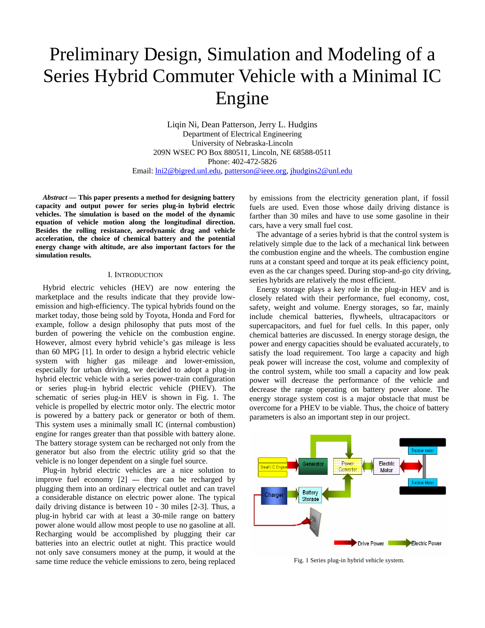# Preliminary Design, Simulation and Modeling of a Series Hybrid Commuter Vehicle with a Minimal IC Engine

Liqin Ni, Dean Patterson, Jerry L. Hudgins Department of Electrical Engineering University of Nebraska-Lincoln 209N WSEC PO Box 880511, Lincoln, NE 68588-0511 Phone: 402-472-5826 Email: lni2@bigred.unl.edu, patterson@ieee.org, jhudgins2@unl.edu

*Abstract* **— This paper presents a method for designing battery capacity and output power for series plug-in hybrid electric vehicles. The simulation is based on the model of the dynamic equation of vehicle motion along the longitudinal direction. Besides the rolling resistance, aerodynamic drag and vehicle acceleration, the choice of chemical battery and the potential energy change with altitude, are also important factors for the simulation results.** 

## I. INTRODUCTION

Hybrid electric vehicles (HEV) are now entering the marketplace and the results indicate that they provide lowemission and high-efficiency. The typical hybrids found on the market today, those being sold by Toyota, Honda and Ford for example, follow a design philosophy that puts most of the burden of powering the vehicle on the combustion engine. However, almost every hybrid vehicle's gas mileage is less than 60 MPG [1]. In order to design a hybrid electric vehicle system with higher gas mileage and lower-emission, especially for urban driving, we decided to adopt a plug-in hybrid electric vehicle with a series power-train configuration or series plug-in hybrid electric vehicle (PHEV). The schematic of series plug-in HEV is shown in Fig. 1. The vehicle is propelled by electric motor only. The electric motor is powered by a battery pack or generator or both of them. This system uses a minimally small IC (internal combustion) engine for ranges greater than that possible with battery alone. The battery storage system can be recharged not only from the generator but also from the electric utility grid so that the vehicle is no longer dependent on a single fuel source.

Plug-in hybrid electric vehicles are a nice solution to improve fuel economy [2] **—** they can be recharged by plugging them into an ordinary electrical outlet and can travel a considerable distance on electric power alone. The typical daily driving distance is between 10 - 30 miles [2-3]. Thus, a plug-in hybrid car with at least a 30-mile range on battery power alone would allow most people to use no gasoline at all. Recharging would be accomplished by plugging their car batteries into an electric outlet at night. This practice would not only save consumers money at the pump, it would at the same time reduce the vehicle emissions to zero, being replaced by emissions from the electricity generation plant, if fossil fuels are used. Even those whose daily driving distance is farther than 30 miles and have to use some gasoline in their cars, have a very small fuel cost.

The advantage of a series hybrid is that the control system is relatively simple due to the lack of a mechanical link between the combustion engine and the wheels. The combustion engine runs at a constant speed and torque at its peak efficiency point, even as the car changes speed. During stop-and-go city driving, series hybrids are relatively the most efficient.

Energy storage plays a key role in the plug-in HEV and is closely related with their performance, fuel economy, cost, safety, weight and volume. Energy storages, so far, mainly include chemical batteries, flywheels, ultracapacitors or supercapacitors, and fuel for fuel cells. In this paper, only chemical batteries are discussed. In energy storage design, the power and energy capacities should be evaluated accurately, to satisfy the load requirement. Too large a capacity and high peak power will increase the cost, volume and complexity of the control system, while too small a capacity and low peak power will decrease the performance of the vehicle and decrease the range operating on battery power alone. The energy storage system cost is a major obstacle that must be overcome for a PHEV to be viable. Thus, the choice of battery parameters is also an important step in our project.



Fig. 1 Series plug-in hybrid vehicle system.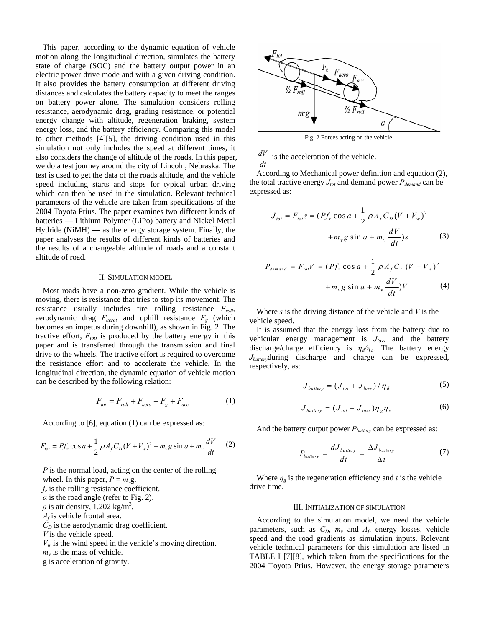This paper, according to the dynamic equation of vehicle motion along the longitudinal direction, simulates the battery state of charge (SOC) and the battery output power in an electric power drive mode and with a given driving condition. It also provides the battery consumption at different driving distances and calculates the battery capacity to meet the ranges on battery power alone. The simulation considers rolling resistance, aerodynamic drag, grading resistance, or potential energy change with altitude, regeneration braking, system energy loss, and the battery efficiency. Comparing this model to other methods [4][5], the driving condition used in this simulation not only includes the speed at different times, it also considers the change of altitude of the roads. In this paper, we do a test journey around the city of Lincoln, Nebraska. The test is used to get the data of the roads altitude, and the vehicle speed including starts and stops for typical urban driving which can then be used in the simulation. Relevant technical parameters of the vehicle are taken from specifications of the 2004 Toyota Prius. The paper examines two different kinds of batteries — Lithium Polymer (LiPo) battery and Nickel Metal Hydride (NiMH) **—** as the energy storage system. Finally, the paper analyses the results of different kinds of batteries and the results of a changeable altitude of roads and a constant altitude of road.

#### II. SIMULATION MODEL

Most roads have a non-zero gradient. While the vehicle is moving, there is resistance that tries to stop its movement. The resistance usually includes tire rolling resistance *Froll*, aerodynamic drag  $F_{aero}$ , and uphill resistance  $F_g$  (which becomes an impetus during downhill), as shown in Fig. 2. The tractive effort,  $F_{tot}$ , is produced by the battery energy in this paper and is transferred through the transmission and final drive to the wheels. The tractive effort is required to overcome the resistance effort and to accelerate the vehicle. In the longitudinal direction, the dynamic equation of vehicle motion can be described by the following relation:

$$
F_{\text{tot}} = F_{\text{roll}} + F_{\text{aero}} + F_{\text{g}} + F_{\text{acc}} \tag{1}
$$

According to [6], equation (1) can be expressed as:

$$
F_{\text{tot}} = Pf_r \cos a + \frac{1}{2} \rho A_f C_D (V + V_w)^2 + m_v g \sin a + m_v \frac{dV}{dt}
$$
 (2)

*P* is the normal load, acting on the center of the rolling wheel. In this paper,  $P = m<sub>v</sub>g$ .

 $f_r$  is the rolling resistance coefficient.

 $\alpha$  is the road angle (refer to Fig. 2).

 $\rho$  is air density, 1.202 kg/m<sup>3</sup>.

 $A_f$  is vehicle frontal area.

 $C<sub>D</sub>$  is the aerodynamic drag coefficient.

*V* is the vehicle speed.

 $V_w$  is the wind speed in the vehicle's moving direction.

 $m<sub>v</sub>$  is the mass of vehicle.

g is acceleration of gravity.



Fig. 2 Forces acting on the vehicle.

*dV dt* is the acceleration of the vehicle.

According to Mechanical power definition and equation (2), the total tractive energy  $J_{tot}$  and demand power  $P_{demand}$  can be expressed as:

$$
J_{tot} = F_{tot}s = (Pf_r \cos a + \frac{1}{2} \rho A_f C_D (V + V_w)^2 + m_v g \sin a + m_v \frac{dV}{dt})s
$$
 (3)

$$
P_{demand} = F_{tot}V = (Pf_r \cos a + \frac{1}{2} \rho A_f C_D (V + V_w)^2
$$

$$
+ m_v g \sin a + m_v \frac{dV}{dt} V
$$
(4)

Where *s* is the driving distance of the vehicle and *V* is the vehicle speed.

It is assumed that the energy loss from the battery due to vehicular energy management is *Jloss* and the battery discharge/charge efficiency is *ηd/ηc*. The battery energy *Jbattery*during discharge and charge can be expressed, respectively, as:

$$
J_{battery} = (J_{tot} + J_{loss}) / \eta_d
$$
 (5)

$$
J_{\text{battery}} = (J_{\text{tot}} + J_{\text{loss}}) \eta_{g} \eta_{c} \tag{6}
$$

And the battery output power  $P_{\text{battery}}$  can be expressed as:

$$
P_{battery} = \frac{dJ_{battery}}{dt} = \frac{\Delta J_{battery}}{\Delta t}
$$
 (7)

Where  $\eta_g$  is the regeneration efficiency and *t* is the vehicle drive time.

### III. INITIALIZATION OF SIMULATION

According to the simulation model, we need the vehicle parameters, such as  $C_D$ ,  $m_v$  and  $A_f$ , energy losses, vehicle speed and the road gradients as simulation inputs. Relevant vehicle technical parameters for this simulation are listed in TABLE I [7][8], which taken from the specifications for the 2004 Toyota Prius. However, the energy storage parameters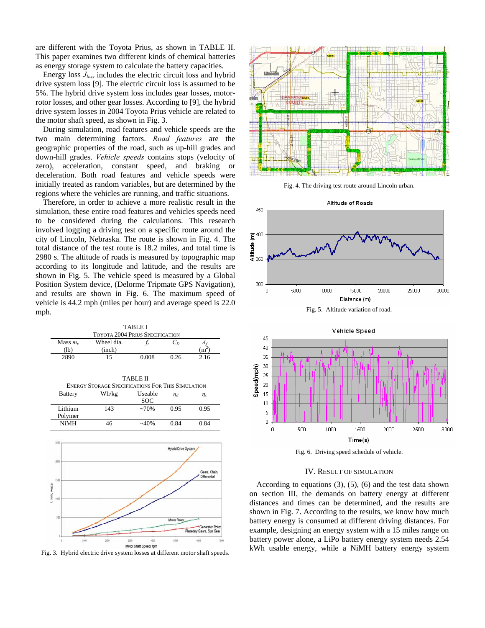are different with the Toyota Prius, as shown in TABLE II. This paper examines two different kinds of chemical batteries as energy storage system to calculate the battery capacities.

Energy loss *Jloss* includes the electric circuit loss and hybrid drive system loss [9]. The electric circuit loss is assumed to be 5%. The hybrid drive system loss includes gear losses, motorrotor losses, and other gear losses. According to [9], the hybrid drive system losses in 2004 Toyota Prius vehicle are related to the motor shaft speed, as shown in Fig. 3.

During simulation, road features and vehicle speeds are the two main determining factors. *Road features* are the geographic properties of the road, such as up-hill grades and down-hill grades. *Vehicle speeds* contains stops (velocity of zero), acceleration, constant speed, and braking or deceleration. Both road features and vehicle speeds were initially treated as random variables, but are determined by the regions where the vehicles are running, and traffic situations.

Therefore, in order to achieve a more realistic result in the simulation, these entire road features and vehicles speeds need to be considered during the calculations. This research involved logging a driving test on a specific route around the city of Lincoln, Nebraska. The route is shown in Fig. 4. The total distance of the test route is 18.2 miles, and total time is 2980 s. The altitude of roads is measured by topographic map according to its longitude and latitude, and the results are shown in Fig. 5. The vehicle speed is measured by a Global Position System device, (Delorme Tripmate GPS Navigation), and results are shown in Fig. 6. The maximum speed of vehicle is 44.2 mph (miles per hour) and average speed is 22.0 mph.

| TABLE I<br><b>TOYOTA 2004 PRIUS SPECIFICATION</b> |            |       |      |      |  |  |
|---------------------------------------------------|------------|-------|------|------|--|--|
| Mass $m_v$                                        | Wheel dia. |       | ιn   |      |  |  |
| (lb                                               | (inch)     |       |      | m    |  |  |
| 2890                                              | 15         | 0.008 | 0.26 | 2.16 |  |  |

| TABLE II<br><b>ENERGY STORAGE SPECIFICATIONS FOR THIS SIMULATION</b> |       |                |          |          |  |  |
|----------------------------------------------------------------------|-------|----------------|----------|----------|--|--|
| <b>Battery</b>                                                       | Wh/kg | <b>Useable</b> | $\eta_d$ | $\eta_c$ |  |  |
|                                                                      |       | SOC.           |          |          |  |  |
| Lithium                                                              | 143   | ~270%          | 0.95     | 0.95     |  |  |
| Polymer                                                              |       |                |          |          |  |  |
| NiMH                                                                 | 46    | ~40%           | 0.84     | 0 84     |  |  |



Fig. 3. Hybrid electric drive system losses at different motor shaft speeds.



Fig. 4. The driving test route around Lincoln urban.





Fig. 6. Driving speed schedule of vehicle.

## IV. RESULT OF SIMULATION

According to equations  $(3)$ ,  $(5)$ ,  $(6)$  and the test data shown on section III, the demands on battery energy at different distances and times can be determined, and the results are shown in Fig. 7. According to the results, we know how much battery energy is consumed at different driving distances. For example, designing an energy system with a 15 miles range on battery power alone, a LiPo battery energy system needs 2.54 kWh usable energy, while a NiMH battery energy system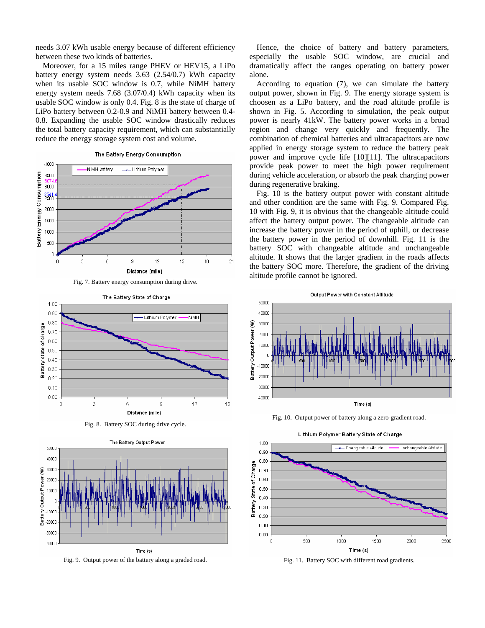needs 3.07 kWh usable energy because of different efficiency between these two kinds of batteries.

Moreover, for a 15 miles range PHEV or HEV15, a LiPo battery energy system needs 3.63 (2.54/0.7) kWh capacity when its usable SOC window is 0.7, while NiMH battery energy system needs 7.68 (3.07/0.4) kWh capacity when its usable SOC window is only 0.4. Fig. 8 is the state of charge of LiPo battery between 0.2-0.9 and NiMH battery between 0.4- 0.8. Expanding the usable SOC window drastically reduces the total battery capacity requirement, which can substantially reduce the energy storage system cost and volume.







Fig. 8. Battery SOC during drive cycle.



Fig. 9. Output power of the battery along a graded road.

Hence, the choice of battery and battery parameters, especially the usable SOC window, are crucial and dramatically affect the ranges operating on battery power alone.

According to equation (7), we can simulate the battery output power, shown in Fig. 9. The energy storage system is choosen as a LiPo battery, and the road altitude profile is shown in Fig. 5. According to simulation, the peak output power is nearly 41kW. The battery power works in a broad region and change very quickly and frequently. The combination of chemical batteries and ultracapacitors are now applied in energy storage system to reduce the battery peak power and improve cycle life [10][11]. The ultracapacitors provide peak power to meet the high power requirement during vehicle acceleration, or absorb the peak charging power during regenerative braking.

Fig. 10 is the battery output power with constant altitude and other condition are the same with Fig. 9. Compared Fig. 10 with Fig. 9, it is obvious that the changeable altitude could affect the battery output power. The changeable altitude can increase the battery power in the period of uphill, or decrease the battery power in the period of downhill. Fig. 11 is the battery SOC with changeable altitude and unchangeable altitude. It shows that the larger gradient in the roads affects the battery SOC more. Therefore, the gradient of the driving altitude profile cannot be ignored.



Fig. 10. Output power of battery along a zero-gradient road.



Fig. 11. Battery SOC with different road gradients.